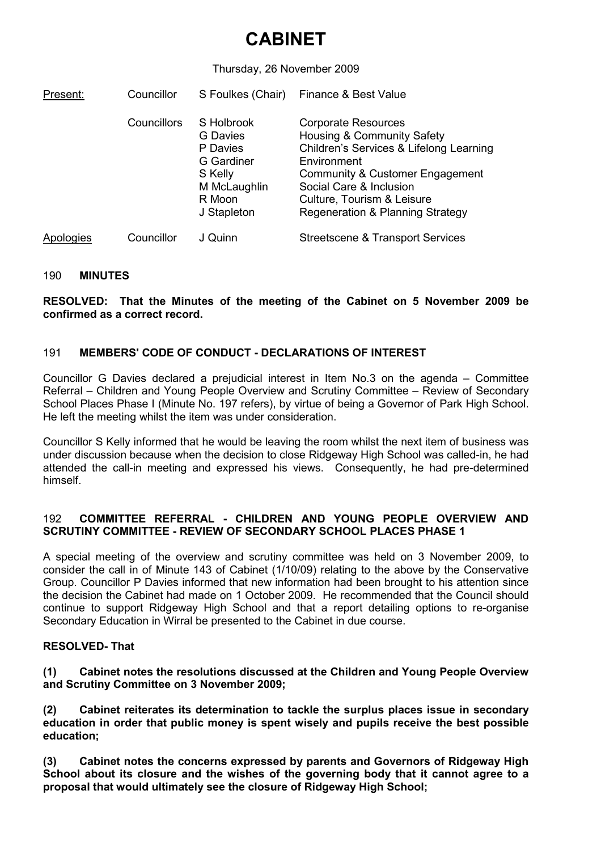# CABINET

### Thursday, 26 November 2009

| Present:  | Councillor         | S Foulkes (Chair)                                                                                    | Finance & Best Value                                                                                                                                                                                                                               |
|-----------|--------------------|------------------------------------------------------------------------------------------------------|----------------------------------------------------------------------------------------------------------------------------------------------------------------------------------------------------------------------------------------------------|
|           | <b>Councillors</b> | S Holbrook<br>G Davies<br>P Davies<br>G Gardiner<br>S Kelly<br>M McLaughlin<br>R Moon<br>J Stapleton | <b>Corporate Resources</b><br>Housing & Community Safety<br>Children's Services & Lifelong Learning<br>Environment<br>Community & Customer Engagement<br>Social Care & Inclusion<br>Culture, Tourism & Leisure<br>Regeneration & Planning Strategy |
| Apologies | Councillor         | J Quinn                                                                                              | <b>Streetscene &amp; Transport Services</b>                                                                                                                                                                                                        |

#### 190 MINUTES

RESOLVED: That the Minutes of the meeting of the Cabinet on 5 November 2009 be confirmed as a correct record.

## 191 MEMBERS' CODE OF CONDUCT - DECLARATIONS OF INTEREST

Councillor G Davies declared a prejudicial interest in Item No.3 on the agenda – Committee Referral – Children and Young People Overview and Scrutiny Committee – Review of Secondary School Places Phase I (Minute No. 197 refers), by virtue of being a Governor of Park High School. He left the meeting whilst the item was under consideration.

Councillor S Kelly informed that he would be leaving the room whilst the next item of business was under discussion because when the decision to close Ridgeway High School was called-in, he had attended the call-in meeting and expressed his views. Consequently, he had pre-determined himself.

### 192 COMMITTEE REFERRAL - CHILDREN AND YOUNG PEOPLE OVERVIEW AND SCRUTINY COMMITTEE - REVIEW OF SECONDARY SCHOOL PLACES PHASE 1

A special meeting of the overview and scrutiny committee was held on 3 November 2009, to consider the call in of Minute 143 of Cabinet (1/10/09) relating to the above by the Conservative Group. Councillor P Davies informed that new information had been brought to his attention since the decision the Cabinet had made on 1 October 2009. He recommended that the Council should continue to support Ridgeway High School and that a report detailing options to re-organise Secondary Education in Wirral be presented to the Cabinet in due course.

#### RESOLVED- That

(1) Cabinet notes the resolutions discussed at the Children and Young People Overview and Scrutiny Committee on 3 November 2009;

(2) Cabinet reiterates its determination to tackle the surplus places issue in secondary education in order that public money is spent wisely and pupils receive the best possible education;

(3) Cabinet notes the concerns expressed by parents and Governors of Ridgeway High School about its closure and the wishes of the governing body that it cannot agree to a proposal that would ultimately see the closure of Ridgeway High School;